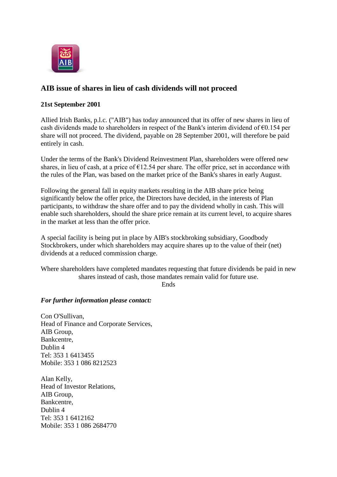

## **AIB issue of shares in lieu of cash dividends will not proceed**

## **21st September 2001**

Allied Irish Banks, p.l.c. ("AIB") has today announced that its offer of new shares in lieu of cash dividends made to shareholders in respect of the Bank's interim dividend of  $\epsilon$ 0.154 per share will not proceed. The dividend, payable on 28 September 2001, will therefore be paid entirely in cash.

Under the terms of the Bank's Dividend Reinvestment Plan, shareholders were offered new shares, in lieu of cash, at a price of  $E12.54$  per share. The offer price, set in accordance with the rules of the Plan, was based on the market price of the Bank's shares in early August.

Following the general fall in equity markets resulting in the AIB share price being significantly below the offer price, the Directors have decided, in the interests of Plan participants, to withdraw the share offer and to pay the dividend wholly in cash. This will enable such shareholders, should the share price remain at its current level, to acquire shares in the market at less than the offer price.

A special facility is being put in place by AIB's stockbroking subsidiary, Goodbody Stockbrokers, under which shareholders may acquire shares up to the value of their (net) dividends at a reduced commission charge.

Where shareholders have completed mandates requesting that future dividends be paid in new shares instead of cash, those mandates remain valid for future use.

Ends

## *For further information please contact:*

Con O'Sullivan, Head of Finance and Corporate Services, AIB Group, Bankcentre, Dublin 4 Tel: 353 1 6413455 Mobile: 353 1 086 8212523

Alan Kelly, Head of Investor Relations, AIB Group, Bankcentre, Dublin 4 Tel: 353 1 6412162 Mobile: 353 1 086 2684770